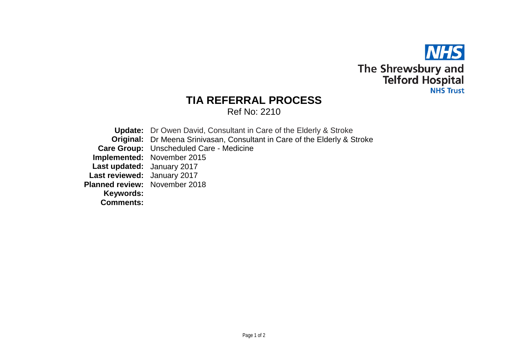

## **TIA REFERRAL PROCESS**

Ref No: 2210

**Update:** Dr Owen David, Consultant in Care of the Elderly & Stroke **Original:** Dr Meena Srinivasan, Consultant in Care of the Elderly & Stroke **Care Group:** Unscheduled Care - Medicine **Implemented:** November 2015 **Last updated:** January 2017 **Last reviewed:** January 2017 **Planned review:** November 2018 **Keywords: Comments:**